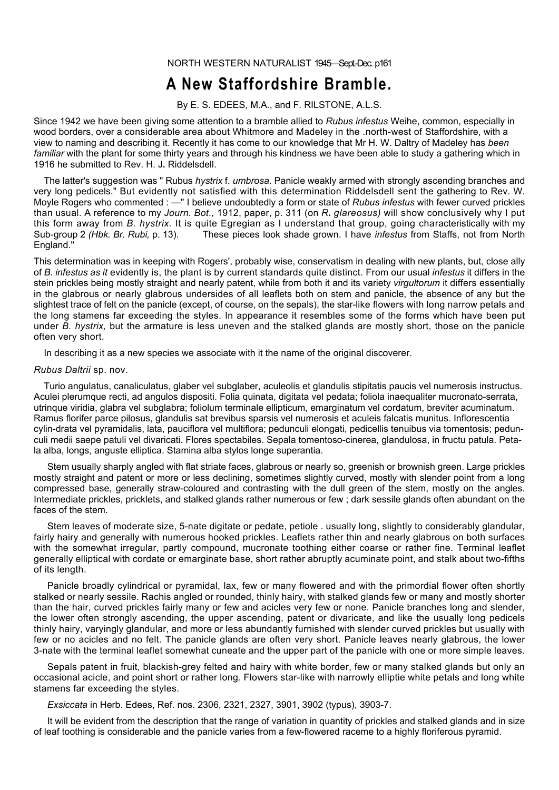NORTH WESTERN NATURALIST 1945-Sept-Dec. p161

## **A New Staffordshire Bramble.**

By E. S. EDEES, M.A., and F. RILSTONE, A.L.S.

Since 1942 we have been giving some attention to a bramble allied to *Rubus infestus* Weihe, common, especially in wood borders, over a considerable area about Whitmore and Madeley in the .north-west of Staffordshire, with a view to naming and describing it. Recently it has come to our knowledge that Mr H. W. Daltry of Madeley has *been familiar* with the plant for some thirty years and through his kindness we have been able to study a gathering which in 1916 he submitted to Rev. H. J*.* Riddelsdell.

The latter's suggestion was " Rubus *hystrix* f. *umbrosa.* Panicle weakly armed with strongly ascending branches and very long pedicels." But evidently not satisfied with this determination Riddelsdell sent the gathering to Rev. W. Moyle Rogers who commented : —" I believe undoubtedly a form or state of *Rubus infestus* with fewer curved prickles than usual. A reference to my *Journ. Bot.,* 1912, paper, p. 311 (on *R. glareosus)* will show conclusively why I put this form away from *B. hystrix.* It is quite Egregian as I understand that group, going characteristically with my Sub-group 2 *(Hbk. Br. Rubi,* p. 13). These pieces look shade grown. I have *infestus* from Staffs, not from North England."

This determination was in keeping with Rogers', probably wise, conservatism in dealing with new plants, but, close ally of *B. infestus as it* evidently is, the plant is by current standards quite distinct. From our usual *infestus* it differs in the stein prickles being mostly straight and nearly patent, while from both it and its variety *virgultorum* it differs essentially in the glabrous or nearly glabrous undersides of all leaflets both on stem and panicle, the absence of any but the slightest trace of felt on the panicle (except, of course, on the sepals), the star-like flowers with long narrow petals and the long stamens far exceeding the styles. In appearance it resembles some of the forms which have been put under *B. hystrix,* but the armature is less uneven and the stalked glands are mostly short, those on the panicle often very short.

In describing it as a new species we associate with it the name of the original discoverer.

## *Rubus Daltrii* sp. nov.

Turio angulatus, canaliculatus, glaber vel subglaber, aculeolis et glandulis stipitatis paucis vel numerosis instructus. Aculei plerumque recti, ad angulos dispositi. Folia quinata, digitata vel pedata; foliola inaequaliter mucronato-serrata, utrinque viridia, glabra vel subglabra; foliolum terminale ellipticum, emarginatum vel cordatum, breviter acuminatum. Ramus florifer parce pilosus, glandulis sat brevibus sparsis vel numerosis et aculeis falcatis munitus. Inflorescentia cylin-drata vel pyramidalis, lata, pauciflora vel multiflora; pedunculi elongati, pedicellis tenuibus via tomentosis; pedunculi medii saepe patuli vel divaricati. Flores spectabiles. Sepala tomentoso-cinerea, glandulosa, in fructu patula. Petala alba, longs, anguste elliptica. Stamina alba stylos longe superantia.

Stem usually sharply angled with flat striate faces, glabrous or nearly so, greenish or brownish green. Large prickles mostly straight and patent or more or less declining, sometimes slightly curved, mostly with slender point from a long compressed base, generally straw-coloured and contrasting with the dull green of the stem, mostly on the angles. Intermediate prickles, pricklets, and stalked glands rather numerous or few ; dark sessile glands often abundant on the faces of the stem.

Stem leaves of moderate size, 5-nate digitate or pedate, petiole . usually long, slightly to considerably glandular, fairly hairy and generally with numerous hooked prickles. Leaflets rather thin and nearly glabrous on both surfaces with the somewhat irregular, partly compound, mucronate toothing either coarse or rather fine. Terminal leaflet generally elliptical with cordate or emarginate base, short rather abruptly acuminate point, and stalk about two-fifths of its length.

Panicle broadly cylindrical or pyramidal, lax, few or many flowered and with the primordial flower often shortly stalked or nearly sessile. Rachis angled or rounded, thinly hairy, with stalked glands few or many and mostly shorter than the hair, curved prickles fairly many or few and acicles very few or none. Panicle branches long and slender, the lower often strongly ascending, the upper ascending, patent or divaricate, and like the usually long pedicels thinly hairy, varyingly glandular, and more or less abundantly furnished with slender curved prickles but usually with few or no acicles and no felt. The panicle glands are often very short. Panicle leaves nearly glabrous, the lower 3-nate with the terminal leaflet somewhat cuneate and the upper part of the panicle with one or more simple leaves.

Sepals patent in fruit, blackish-grey felted and hairy with white border, few or many stalked glands but only an occasional acicle, and point short or rather long. Flowers star-like with narrowly elliptie white petals and long white stamens far exceeding the styles.

*Exsiccata* in Herb. Edees, Ref. nos. 2306, 2321, 2327, 3901, 3902 (typus), 3903-7.

It will be evident from the description that the range of variation in quantity of prickles and stalked glands and in size of leaf toothing is considerable and the panicle varies from a few-flowered raceme to a highly floriferous pyramid.